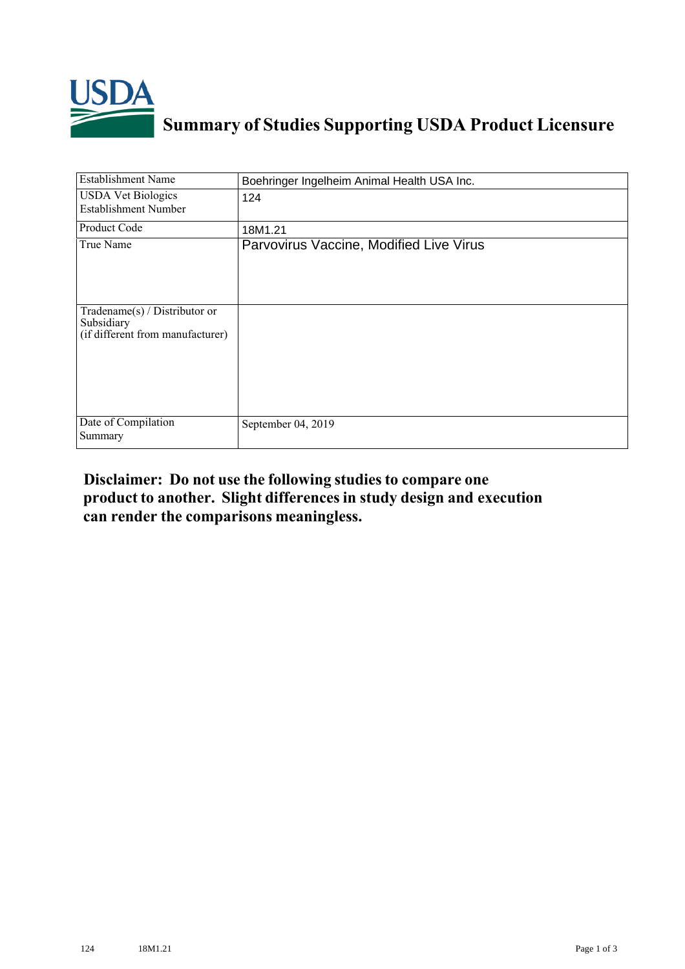

## **Summary of Studies Supporting USDA Product Licensure**

| <b>Establishment Name</b>                                                       | Boehringer Ingelheim Animal Health USA Inc. |
|---------------------------------------------------------------------------------|---------------------------------------------|
| <b>USDA Vet Biologics</b><br><b>Establishment Number</b>                        | 124                                         |
| Product Code                                                                    | 18M1.21                                     |
| True Name                                                                       | Parvovirus Vaccine, Modified Live Virus     |
| Tradename(s) / Distributor or<br>Subsidiary<br>(if different from manufacturer) |                                             |
| Date of Compilation<br>Summary                                                  | September 04, 2019                          |

## **Disclaimer: Do not use the following studiesto compare one product to another. Slight differencesin study design and execution can render the comparisons meaningless.**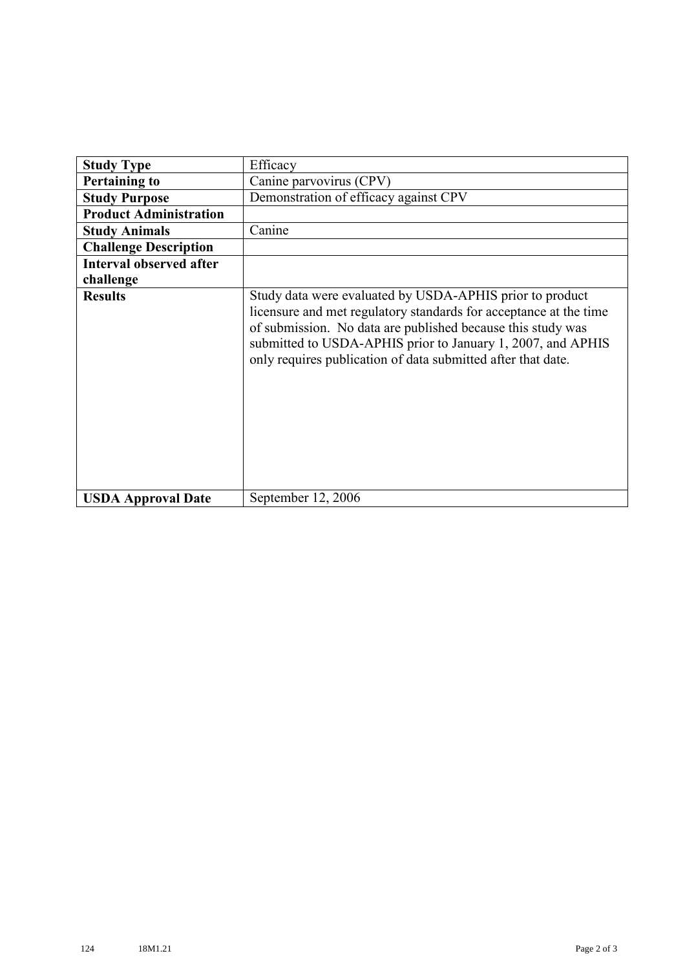| <b>Study Type</b>              | Efficacy                                                                                                                                                                                                                                                                                                                    |
|--------------------------------|-----------------------------------------------------------------------------------------------------------------------------------------------------------------------------------------------------------------------------------------------------------------------------------------------------------------------------|
| <b>Pertaining to</b>           | Canine parvovirus (CPV)                                                                                                                                                                                                                                                                                                     |
| <b>Study Purpose</b>           | Demonstration of efficacy against CPV                                                                                                                                                                                                                                                                                       |
| <b>Product Administration</b>  |                                                                                                                                                                                                                                                                                                                             |
| <b>Study Animals</b>           | Canine                                                                                                                                                                                                                                                                                                                      |
| <b>Challenge Description</b>   |                                                                                                                                                                                                                                                                                                                             |
| <b>Interval observed after</b> |                                                                                                                                                                                                                                                                                                                             |
| challenge                      |                                                                                                                                                                                                                                                                                                                             |
| <b>Results</b>                 | Study data were evaluated by USDA-APHIS prior to product<br>licensure and met regulatory standards for acceptance at the time<br>of submission. No data are published because this study was<br>submitted to USDA-APHIS prior to January 1, 2007, and APHIS<br>only requires publication of data submitted after that date. |
| <b>USDA Approval Date</b>      | September 12, 2006                                                                                                                                                                                                                                                                                                          |